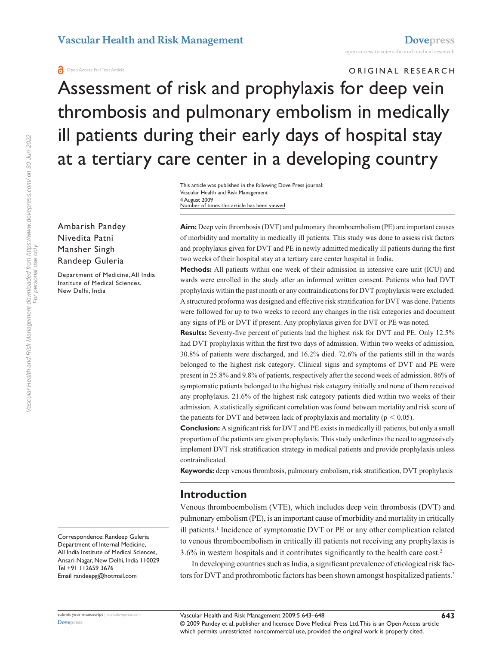ORIGINAL RESEARCH

Assessment of risk and prophylaxis for deep vein thrombosis and pulmonary embolism in medically ill patients during their early days of hospital stay at a tertiary care center in a developing country

> Number of times this article has been viewed This article was published in the following Dove Press journal: Vascular Health and Risk Management 4 August 2009

Ambarish Pandey Nivedita Patni Mansher Singh Randeep Guleria

Department of Medicine, All India Institute of Medical Sciences, New Delhi, India

**Aim:** Deep vein thrombosis (DVT) and pulmonary thromboembolism (PE) are important causes of morbidity and mortality in medically ill patients. This study was done to assess risk factors and prophylaxis given for DVT and PE in newly admitted medically ill patients during the first two weeks of their hospital stay at a tertiary care center hospital in India.

**Methods:** All patients within one week of their admission in intensive care unit (ICU) and wards were enrolled in the study after an informed written consent. Patients who had DVT prophylaxis within the past month or any contraindications for DVT prophylaxis were excluded. A structured proforma was designed and effective risk stratification for DVT was done. Patients were followed for up to two weeks to record any changes in the risk categories and document any signs of PE or DVT if present. Any prophylaxis given for DVT or PE was noted.

**Results:** Seventy-five percent of patients had the highest risk for DVT and PE. Only 12.5% had DVT prophylaxis within the first two days of admission. Within two weeks of admission, 30.8% of patients were discharged, and 16.2% died. 72.6% of the patients still in the wards belonged to the highest risk category. Clinical signs and symptoms of DVT and PE were present in 25.8% and 9.8% of patients, respectively after the second week of admission. 86% of symptomatic patients belonged to the highest risk category initially and none of them received any prophylaxis. 21.6% of the highest risk category patients died within two weeks of their admission. A statistically significant correlation was found between mortality and risk score of the patients for DVT and between lack of prophylaxis and mortality ( $p < 0.05$ ).

**Conclusion:** A significant risk for DVT and PE exists in medically ill patients, but only a small proportion of the patients are given prophylaxis. This study underlines the need to aggressively implement DVT risk stratification strategy in medical patients and provide prophylaxis unless contraindicated.

**Keywords:** deep venous thrombosis, pulmonary embolism, risk stratification, DVT prophylaxis

# **Introduction**

Venous thromboembolism (VTE), which includes deep vein thrombosis (DVT) and pulmonary embolism (PE), is an important cause of morbidity and mortality in critically ill patients.<sup>1</sup> Incidence of symptomatic DVT or PE or any other complication related to venous thromboembolism in critically ill patients not receiving any prophylaxis is 3.6% in western hospitals and it contributes significantly to the health care cost.2

In developing countries such as India, a significant prevalence of etiological risk factors for DVT and prothrombotic factors has been shown amongst hospitalized patients.<sup>3</sup>

Correspondence: Randeep Guleria Department of Internal Medicine, All India Institute of Medical Sciences, Ansari Nagar, New Delhi, India 110029 Tel +91 112659 3676 Email randeepg@hotmail.com

**submit your manuscript** | <www.dovepress.com>

© 2009 Pandey et al, publisher and licensee Dove Medical Press Ltd. This is an Open Access article which permits unrestricted noncommercial use, provided the original work is properly cited.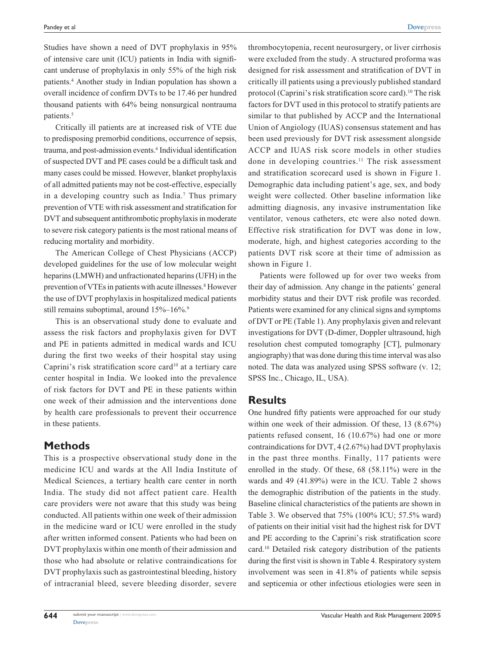Studies have shown a need of DVT prophylaxis in 95% of intensive care unit (ICU) patients in India with significant underuse of prophylaxis in only 55% of the high risk patients.4 Another study in Indian population has shown a overall incidence of confirm DVTs to be 17.46 per hundred thousand patients with 64% being nonsurgical nontrauma patients.<sup>5</sup>

Critically ill patients are at increased risk of VTE due to predisposing premorbid conditions, occurrence of sepsis, trauma, and post-admission events.<sup>6</sup> Individual identification of suspected DVT and PE cases could be a difficult task and many cases could be missed. However, blanket prophylaxis of all admitted patients may not be cost-effective, especially in a developing country such as India.<sup>7</sup> Thus primary prevention of VTE with risk assessment and stratification for DVT and subsequent antithrombotic prophylaxis in moderate to severe risk category patients is the most rational means of reducing mortality and morbidity.

The American College of Chest Physicians (ACCP) developed guidelines for the use of low molecular weight heparins (LMWH) and unfractionated heparins (UFH) in the prevention of VTEs in patients with acute illnesses.<sup>8</sup> However the use of DVT prophylaxis in hospitalized medical patients still remains suboptimal, around  $15\% - 16\%$ .<sup>9</sup>

This is an observational study done to evaluate and assess the risk factors and prophylaxis given for DVT and PE in patients admitted in medical wards and ICU during the first two weeks of their hospital stay using Caprini's risk stratification score card<sup>10</sup> at a tertiary care center hospital in India. We looked into the prevalence of risk factors for DVT and PE in these patients within one week of their admission and the interventions done by health care professionals to prevent their occurrence in these patients.

# **Methods**

This is a prospective observational study done in the medicine ICU and wards at the All India Institute of Medical Sciences, a tertiary health care center in north India. The study did not affect patient care. Health care providers were not aware that this study was being conducted. All patients within one week of their admission in the medicine ward or ICU were enrolled in the study after written informed consent. Patients who had been on DVT prophylaxis within one month of their admission and those who had absolute or relative contraindications for DVT prophylaxis such as gastrointestinal bleeding, history of intracranial bleed, severe bleeding disorder, severe

thrombocytopenia, recent neurosurgery, or liver cirrhosis were excluded from the study. A structured proforma was designed for risk assessment and stratification of DVT in critically ill patients using a previously published standard protocol (Caprini's risk stratification score card).10 The risk factors for DVT used in this protocol to stratify patients are similar to that published by ACCP and the International Union of Angiology (IUAS) consensus statement and has been used previously for DVT risk assessment alongside ACCP and IUAS risk score models in other studies done in developing countries.<sup>11</sup> The risk assessment and stratification scorecard used is shown in Figure 1. Demographic data including patient's age, sex, and body weight were collected. Other baseline information like admitting diagnosis, any invasive instrumentation like ventilator, venous catheters, etc were also noted down. Effective risk stratification for DVT was done in low, moderate, high, and highest categories according to the patients DVT risk score at their time of admission as shown in Figure 1.

Patients were followed up for over two weeks from their day of admission. Any change in the patients' general morbidity status and their DVT risk profile was recorded. Patients were examined for any clinical signs and symptoms of DVT or PE (Table 1). Any prophylaxis given and relevant investigations for DVT (D-dimer, Doppler ultrasound, high resolution chest computed tomography [CT], pulmonary angiography) that was done during this time interval was also noted. The data was analyzed using SPSS software (v. 12; SPSS Inc., Chicago, IL, USA).

# **Results**

One hundred fifty patients were approached for our study within one week of their admission. Of these, 13 (8.67%) patients refused consent, 16 (10.67%) had one or more contraindications for DVT, 4 (2.67%) had DVT prophylaxis in the past three months. Finally, 117 patients were enrolled in the study. Of these, 68 (58.11%) were in the wards and 49 (41.89%) were in the ICU. Table 2 shows the demographic distribution of the patients in the study. Baseline clinical characteristics of the patients are shown in Table 3. We observed that 75% (100% ICU; 57.5% ward) of patients on their initial visit had the highest risk for DVT and PE according to the Caprini's risk stratification score card.10 Detailed risk category distribution of the patients during the first visit is shown in Table 4. Respiratory system involvement was seen in 41.8% of patients while sepsis and septicemia or other infectious etiologies were seen in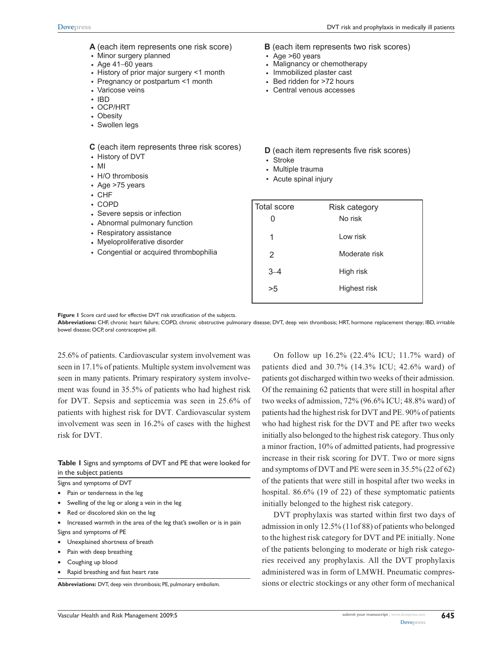- **A** (each item represents one risk score)
- Minor surgery planned
- Age 41−60 years
- History of prior major surgery <1 month
- Pregnancy or postpartum <1 month
- Varicose veins
- $\cdot$  IBD
- OCP/HRT
- Obesity
- Swollen legs
- **C** (each item represents three risk scores)
- History of DVT
- $\cdot$  MI
- H/O thrombosis
- Age >75 years
- CHF
- COPD
- Severe sepsis or infection
- Abnormal pulmonary function
- Respiratory assistance
- Myeloproliferative disorder
- Congential or acquired thrombophilia

#### **B** (each item represents two risk scores)

- Age >60 years
- Malignancy or chemotherapy
- Immobilized plaster cast
- Bed ridden for >72 hours
- Central venous accesses
- **D** (each item represents five risk scores)
- Stroke
- Multiple trauma
- Acute spinal injury

| <b>Total score</b> | Risk category |  |
|--------------------|---------------|--|
| 0                  | No risk       |  |
| 1                  | Low risk      |  |
| 2                  | Moderate risk |  |
| $3 - 4$            | High risk     |  |
| >5                 | Highest risk  |  |
|                    |               |  |

**Figure 1** Score card used for effective DVT risk stratification of the subjects.

**Abbreviations:** CHF, chronic heart failure; COPD, chronic obstructive pulmonary disease; DVT, deep vein thrombosis; HRT, hormone replacement therapy; IBD, irritable bowel disease; OCP, oral contraceptive pill.

25.6% of patients. Cardiovascular system involvement was seen in 17.1% of patients. Multiple system involvement was seen in many patients. Primary respiratory system involvement was found in 35.5% of patients who had highest risk for DVT. Sepsis and septicemia was seen in 25.6% of patients with highest risk for DVT. Cardiovascular system involvement was seen in 16.2% of cases with the highest risk for DVT.

**Table 1** Signs and symptoms of DVT and PE that were looked for in the subject patients

Signs and symptoms of DVT

- Pain or tenderness in the leg
- Swelling of the leg or along a vein in the leg
- Red or discolored skin on the leg

• Increased warmth in the area of the leg that's swollen or is in pain Signs and symptoms of PE

- Unexplained shortness of breath
- Pain with deep breathing
- Coughing up blood
- Rapid breathing and fast heart rate

**Abbreviations:** DVT, deep vein thrombosis; PE, pulmonary embolism.

On follow up 16.2% (22.4% ICU; 11.7% ward) of patients died and 30.7% (14.3% ICU; 42.6% ward) of patients got discharged within two weeks of their admission. Of the remaining 62 patients that were still in hospital after two weeks of admission, 72% (96.6% ICU; 48.8% ward) of patients had the highest risk for DVT and PE. 90% of patients who had highest risk for the DVT and PE after two weeks initially also belonged to the highest risk category. Thus only a minor fraction, 10% of admitted patients, had progressive increase in their risk scoring for DVT. Two or more signs and symptoms of DVT and PE were seen in 35.5% (22 of 62) of the patients that were still in hospital after two weeks in hospital. 86.6% (19 of 22) of these symptomatic patients initially belonged to the highest risk category.

DVT prophylaxis was started within first two days of admission in only 12.5% (11of 88) of patients who belonged to the highest risk category for DVT and PE initially. None of the patients belonging to moderate or high risk categories received any prophylaxis. All the DVT prophylaxis administered was in form of LMWH. Pneumatic compressions or electric stockings or any other form of mechanical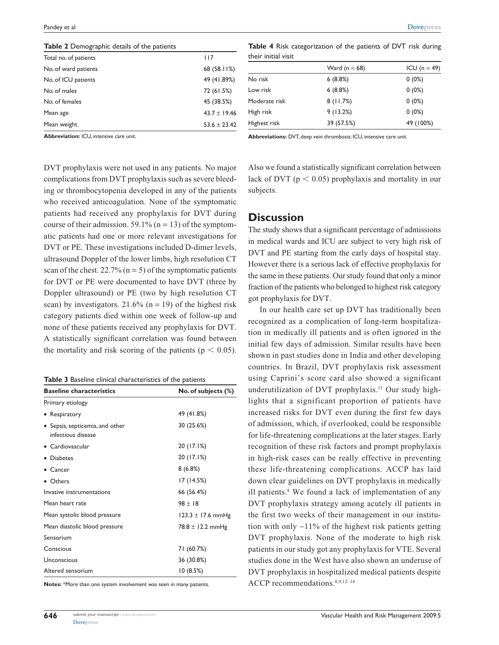|  | Table 2 Demographic details of the patients |  |  |
|--|---------------------------------------------|--|--|
|--|---------------------------------------------|--|--|

| Total no. of patients | 117              |
|-----------------------|------------------|
| No. of ward patients  | 68 (58.11%)      |
| No. of ICU patients   | 49 (41.89%)      |
| No. of males          | 72 (61.5%)       |
| No. of females        | 45 (38.5%)       |
| Mean age              | $43.7 \pm 19.46$ |
| Mean weight           | $53.6 \pm 23.42$ |

### **Table 4** Risk categorization of the patients of DVT risk during their initial visit

|               | Ward ( $n = 68$ ) | ICU $(n = 49)$ |
|---------------|-------------------|----------------|
| No risk       | 6(8.8%)           | $0(0\%)$       |
| Low risk      | 6(8.8%)           | $0(0\%)$       |
| Moderate risk | 8(11.7%)          | $0(0\%)$       |
| High risk     | 9(13.2%)          | $0(0\%)$       |
| Highest risk  | 39 (57.5%)        | 49 (100%)      |
|               |                   |                |

**Abbreviation:** ICU, intensive care unit.

DVT prophylaxis were not used in any patients. No major complications from DVT prophylaxis such as severe bleeding or thrombocytopenia developed in any of the patients who received anticoagulation. None of the symptomatic patients had received any prophylaxis for DVT during course of their admission. 59.1% ( $n = 13$ ) of the symptomatic patients had one or more relevant investigations for DVT or PE. These investigations included D-dimer levels, ultrasound Doppler of the lower limbs, high resolution CT scan of the chest. 22.7% ( $n = 5$ ) of the symptomatic patients for DVT or PE were documented to have DVT (three by Doppler ultrasound) or PE (two by high resolution CT scan) by investigators. 21.6% ( $n = 19$ ) of the highest risk category patients died within one week of follow-up and none of these patients received any prophylaxis for DVT. A statistically significant correlation was found between the mortality and risk scoring of the patients ( $p < 0.05$ ).

|  |  |  |  | <b>Table 3</b> Baseline clinical characteristics of the patients |  |  |  |  |
|--|--|--|--|------------------------------------------------------------------|--|--|--|--|
|--|--|--|--|------------------------------------------------------------------|--|--|--|--|

| <b>Baseline characteristics</b>                       | No. of subjects (%)   |  |  |  |
|-------------------------------------------------------|-----------------------|--|--|--|
| Primary etiology                                      |                       |  |  |  |
| • Respiratory                                         | 49 (41.8%)            |  |  |  |
| • Sepsis, septicemia, and other<br>infectious disease | 30 (25.6%)            |  |  |  |
| • Cardiovascular                                      | 20 (17.1%)            |  |  |  |
| • Diabetes                                            | 20 (17.1%)            |  |  |  |
| • Cancer                                              | 8(6.8%)               |  |  |  |
| • Others                                              | 17 (14.5%)            |  |  |  |
| Invasive instrumentations                             | 66 (56.4%)            |  |  |  |
| Mean heart rate                                       | $98 \pm 18$           |  |  |  |
| Mean systolic blood pressure                          | $123.3 \pm 17.6$ mmHg |  |  |  |
| Mean diastolic blood pressure                         | 78.8 $\pm$ 12.2 mmHg  |  |  |  |
| Sensorium                                             |                       |  |  |  |
| Conscious                                             | 71 (60.7%)            |  |  |  |
| Unconscious                                           | 36 (30.8%)            |  |  |  |
| Altered sensorium                                     | 10(8.5%)              |  |  |  |

**Notes:** \*More than one system involvement was seen in many patients.

Also we found a statistically significant correlation between

**Abbreviations:** DVT, deep vein thrombosis; ICU, intensive care unit.

lack of DVT ( $p < 0.05$ ) prophylaxis and mortality in our subjects.

## **Discussion**

The study shows that a significant percentage of admissions in medical wards and ICU are subject to very high risk of DVT and PE starting from the early days of hospital stay. However there is a serious lack of effective prophylaxis for the same in these patients. Our study found that only a minor fraction of the patients who belonged to highest risk category got prophylaxis for DVT.

In our health care set up DVT has traditionally been recognized as a complication of long-term hospitalization in medically ill patients and is often ignored in the initial few days of admission. Similar results have been shown in past studies done in India and other developing countries. In Brazil, DVT prophylaxis risk assessment using Caprini's score card also showed a significant underutilization of DVT prophylaxis.<sup>11</sup> Our study highlights that a significant proportion of patients have increased risks for DVT even during the first few days of admission, which, if overlooked, could be responsible for life-threatening complications at the later stages. Early recognition of these risk factors and prompt prophylaxis in high-risk cases can be really effective in preventing these life-threatening complications. ACCP has laid down clear guidelines on DVT prophylaxis in medically ill patients.<sup>8</sup> We found a lack of implementation of any DVT prophylaxis strategy among acutely ill patients in the first two weeks of their management in our institution with only ∼11% of the highest risk patients getting DVT prophylaxis. None of the moderate to high risk patients in our study got any prophylaxis for VTE. Several studies done in the West have also shown an underuse of DVT prophylaxis in hospitalized medical patients despite ACCP recommendations.<sup>8,9,12-14</sup>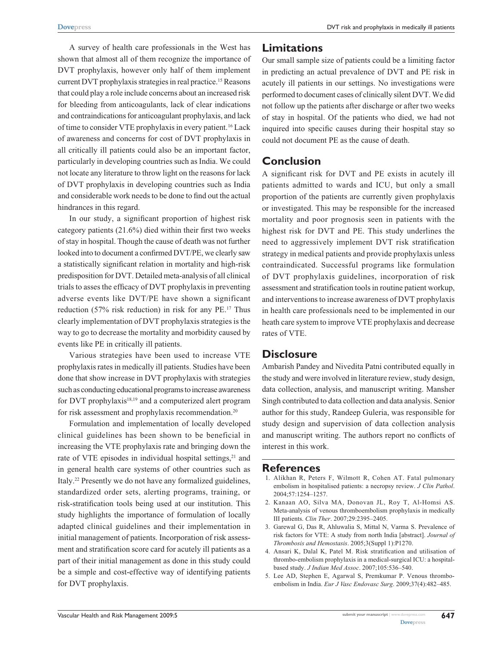A survey of health care professionals in the West has shown that almost all of them recognize the importance of DVT prophylaxis, however only half of them implement current DVT prophylaxis strategies in real practice.15 Reasons that could play a role include concerns about an increased risk for bleeding from anticoagulants, lack of clear indications and contraindications for anticoagulant prophylaxis, and lack of time to consider VTE prophylaxis in every patient.16 Lack of awareness and concerns for cost of DVT prophylaxis in all critically ill patients could also be an important factor, particularly in developing countries such as India. We could not locate any literature to throw light on the reasons for lack of DVT prophylaxis in developing countries such as India and considerable work needs to be done to find out the actual hindrances in this regard.

In our study, a significant proportion of highest risk category patients (21.6%) died within their first two weeks of stay in hospital. Though the cause of death was not further looked into to document a confirmed DVT/PE, we clearly saw a statistically significant relation in mortality and high-risk predisposition for DVT. Detailed meta-analysis of all clinical trials to asses the efficacy of DVT prophylaxis in preventing adverse events like DVT/PE have shown a significant reduction (57% risk reduction) in risk for any PE.<sup>17</sup> Thus clearly implementation of DVT prophylaxis strategies is the way to go to decrease the mortality and morbidity caused by events like PE in critically ill patients.

Various strategies have been used to increase VTE prophylaxis rates in medically ill patients. Studies have been done that show increase in DVT prophylaxis with strategies such as conducting educational programs to increase awareness for DVT prophylaxis<sup>18,19</sup> and a computerized alert program for risk assessment and prophylaxis recommendation.<sup>20</sup>

Formulation and implementation of locally developed clinical guidelines has been shown to be beneficial in increasing the VTE prophylaxis rate and bringing down the rate of VTE episodes in individual hospital settings,<sup>21</sup> and in general health care systems of other countries such as Italy.22 Presently we do not have any formalized guidelines, standardized order sets, alerting programs, training, or risk-stratification tools being used at our institution. This study highlights the importance of formulation of locally adapted clinical guidelines and their implementation in initial management of patients. Incorporation of risk assessment and stratification score card for acutely ill patients as a part of their initial management as done in this study could be a simple and cost-effective way of identifying patients for DVT prophylaxis.

## **Limitations**

Our small sample size of patients could be a limiting factor in predicting an actual prevalence of DVT and PE risk in acutely ill patients in our settings. No investigations were performed to document cases of clinically silent DVT. We did not follow up the patients after discharge or after two weeks of stay in hospital. Of the patients who died, we had not inquired into specific causes during their hospital stay so could not document PE as the cause of death.

# **Conclusion**

A significant risk for DVT and PE exists in acutely ill patients admitted to wards and ICU, but only a small proportion of the patients are currently given prophylaxis or investigated. This may be responsible for the increased mortality and poor prognosis seen in patients with the highest risk for DVT and PE. This study underlines the need to aggressively implement DVT risk stratification strategy in medical patients and provide prophylaxis unless contraindicated. Successful programs like formulation of DVT prophylaxis guidelines, incorporation of risk assessment and stratification tools in routine patient workup, and interventions to increase awareness of DVT prophylaxis in health care professionals need to be implemented in our heath care system to improve VTE prophylaxis and decrease rates of VTE.

# **Disclosure**

Ambarish Pandey and Nivedita Patni contributed equally in the study and were involved in literature review, study design, data collection, analysis, and manuscript writing. Mansher Singh contributed to data collection and data analysis. Senior author for this study, Randeep Guleria, was responsible for study design and supervision of data collection analysis and manuscript writing. The authors report no conflicts of interest in this work.

### **References**

- 1. Alikhan R, Peters F, Wilmott R, Cohen AT. Fatal pulmonary embolism in hospitalised patients: a necropsy review. *J Clin Pathol*. 2004;57:1254–1257.
- 2. Kanaan AO, Silva MA, Donovan JL, Roy T, Al-Homsi AS. Meta-analysis of venous thromboembolism prophylaxis in medically III patients. *Clin Ther*. 2007;29:2395–2405.
- 3. Garewal G, Das R, Ahluwalia S, Mittal N, Varma S. Prevalence of risk factors for VTE: A study from north India [abstract]. *Journal of Thrombosis and Hemostasis*. 2005;3(Suppl 1):P1270.
- 4. Ansari K, Dalal K, Patel M. Risk stratification and utilisation of thrombo-embolism prophylaxis in a medical-surgical ICU: a hospitalbased study. *J Indian Med Assoc*. 2007;105:536–540.
- 5. Lee AD, Stephen E, Agarwal S, Premkumar P. Venous thromboembolism in India. *Eur J Vasc Endovasc Surg*. 2009;37(4):482–485.